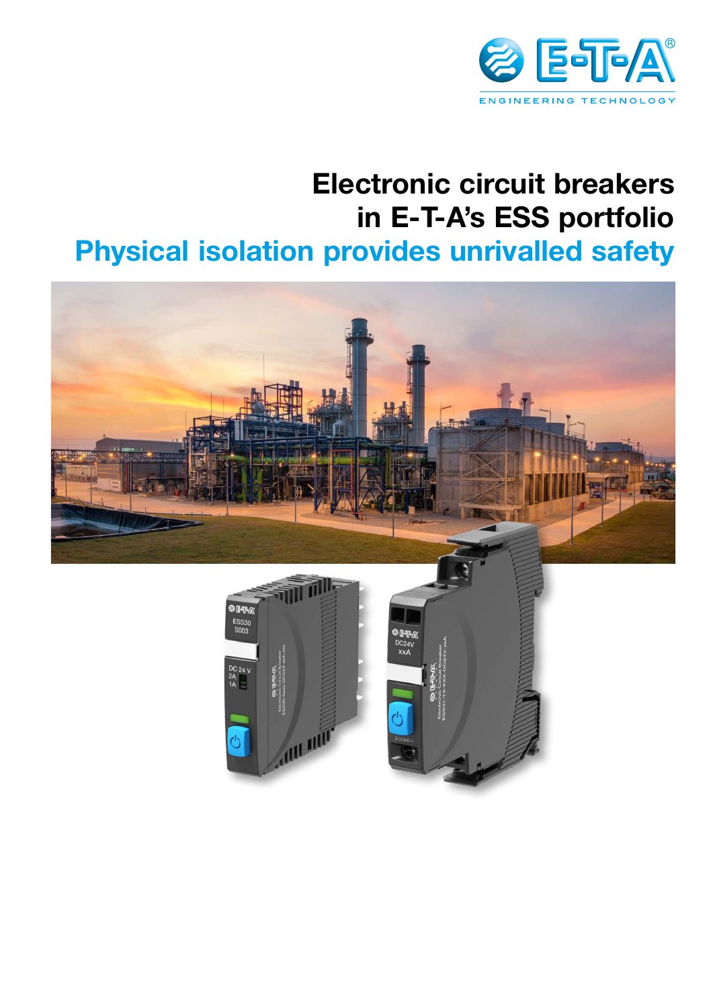

# **Electronic circuit breakers in E-T-A's ESS portfolio Physical isolation provides unrivalled safety**

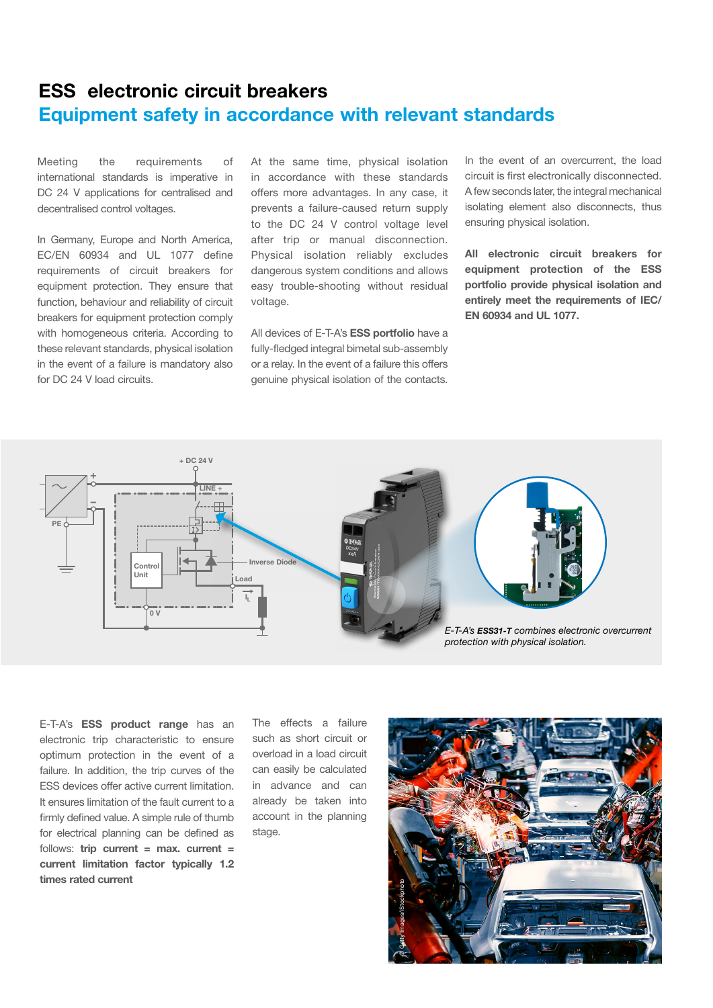### **ESS electronic circuit breakers Equipment safety in accordance with relevant standards**

Meeting the requirements of international standards is imperative in DC 24 V applications for centralised and decentralised control voltages.

In Germany, Europe and North America, EC/EN 60934 and UL 1077 define requirements of circuit breakers for equipment protection. They ensure that function, behaviour and reliability of circuit breakers for equipment protection comply with homogeneous criteria. According to these relevant standards, physical isolation in the event of a failure is mandatory also for DC 24 V load circuits.

At the same time, physical isolation in accordance with these standards offers more advantages. In any case, it prevents a failure-caused return supply to the DC 24 V control voltage level after trip or manual disconnection. Physical isolation reliably excludes dangerous system conditions and allows easy trouble-shooting without residual voltage.

All devices of E-T-A's **ESS portfolio** have a fully-fledged integral bimetal sub-assembly or a relay. In the event of a failure this offers genuine physical isolation of the contacts.

In the event of an overcurrent, the load circuit is first electronically disconnected. A few seconds later, the integral mechanical isolating element also disconnects, thus ensuring physical isolation.

**All electronic circuit breakers for equipment protection of the ESS portfolio provide physical isolation and entirely meet the requirements of IEC/ EN 60934 and UL 1077.**



E-T-A's **ESS product range** has an electronic trip characteristic to ensure optimum protection in the event of a failure. In addition, the trip curves of the ESS devices offer active current limitation. It ensures limitation of the fault current to a firmly defined value. A simple rule of thumb for electrical planning can be defined as follows: **trip current = max. current = current limitation factor typically 1.2 times rated current**

The effects a failure such as short circuit or overload in a load circuit can easily be calculated in advance and can already be taken into account in the planning stage.

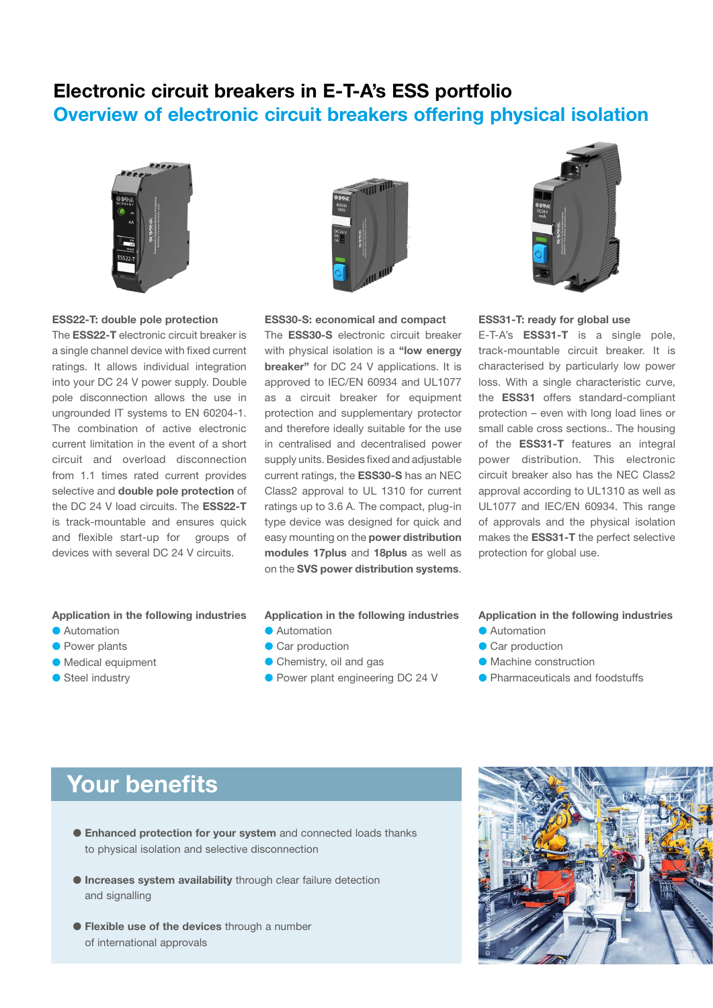## **Electronic circuit breakers in E-T-A's ESS portfolio Overview of electronic circuit breakers offering physical isolation**



#### **ESS22-T: double pole protection**

The **ESS22-T** electronic circuit breaker is a single channel device with fixed current ratings. It allows individual integration into your DC 24 V power supply. Double pole disconnection allows the use in ungrounded IT systems to EN 60204-1. The combination of active electronic current limitation in the event of a short circuit and overload disconnection from 1.1 times rated current provides selective and **double pole protection** of the DC 24 V load circuits. The **ESS22-T** is track-mountable and ensures quick and flexible start-up for groups of devices with several DC 24 V circuits.



**ESS30-S: economical and compact**

The **ESS30-S** electronic circuit breaker with physical isolation is a **"low energy breaker"** for DC 24 V applications. It is approved to IEC/EN 60934 and UL1077 as a circuit breaker for equipment protection and supplementary protector and therefore ideally suitable for the use in centralised and decentralised power supply units. Besides fixed and adjustable current ratings, the **ESS30-S** has an NEC Class2 approval to UL 1310 for current ratings up to 3.6 A. The compact, plug-in type device was designed for quick and easy mounting on the **power distribution modules 17plus** and **18plus** as well as on the **SVS power distribution systems**.



#### **ESS31-T: ready for global use**

E-T-A's **ESS31-T** is a single pole, track-mountable circuit breaker. It is characterised by particularly low power loss. With a single characteristic curve, the **ESS31** offers standard-compliant protection – even with long load lines or small cable cross sections.. The housing of the **ESS31-T** features an integral power distribution. This electronic circuit breaker also has the NEC Class2 approval according to UL1310 as well as UL1077 and IEC/EN 60934. This range of approvals and the physical isolation makes the **ESS31-T** the perfect selective protection for global use.

#### **Application in the following industries**

- **Automation**
- **Power plants**
- $\bullet$  Medical equipment
- $\bullet$  Steel industry

#### **Application in the following industries Automation**

- **Car production**
- **Chemistry, oil and gas**
- Power plant engineering DC 24 V

#### **Application in the following industries**

- **Automation**
- Car production
- **Machine construction**
- **Pharmaceuticals and foodstuffs**

## **Your benefits**

- **Enhanced protection for your system** and connected loads thanks to physical isolation and selective disconnection
- **Increases system availability** through clear failure detection and signalling
- **Flexible use of the devices** through a number of international approvals